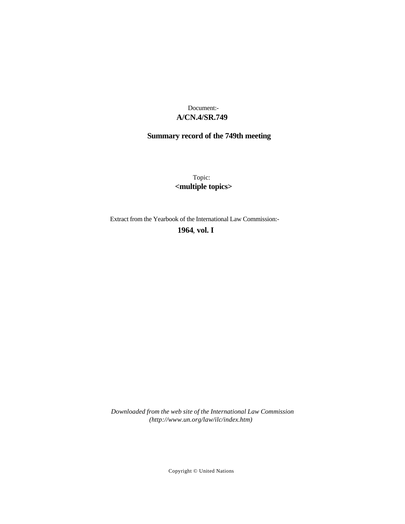# **A/CN.4/SR.749** Document:-

# **Summary record of the 749th meeting**

Topic: **<multiple topics>**

Extract from the Yearbook of the International Law Commission:-

**1964** , **vol. I**

*Downloaded from the web site of the International Law Commission (http://www.un.org/law/ilc/index.htm)*

Copyright © United Nations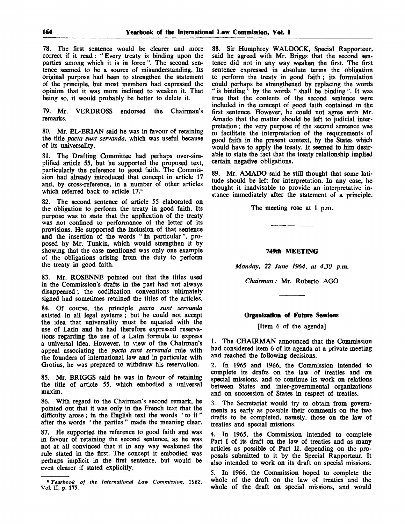78. The first sentence would be clearer and more correct if it read: " Every treaty is binding upon the parties among which it is in force". The second sentence seemed to be a source of misunderstanding. Its original purpose had been to strengthen the statement of the principle, but most members had expressed the opinion that it was more inclined to weaken it. That being so, it would probably be better to delete it.

79. Mr. VERDROSS endorsed the Chairman's remarks.

80. Mr. EL-ERIAN said he was in favour of retaining the title *pacta sunt servanda,* which was useful because of its universality.

81. The Drafting Committee had perhaps over-simplified article 55, but he supported the proposed text, particularly the reference to good faith. The Commission had already introduced that concept in article 17 and, by cross-reference, in a number of other articles which referred back to article 17.<sup>6</sup>

82. The second sentence of article 55 elaborated on the obligation to perform the treaty in good faith. Its purpose was to state that the application of the treaty was not confined to performance of the letter of its provisions. He supported the inclusion of that sentence and the insertion of the words " In particular ", proposed by Mr. Tunkin, which would strengthen it by showing that the case mentioned was only one example of the obligations arising from the duty to perform the treaty in good faith.

83. Mr. ROSENNE pointed out that the titles used in the Commission's drafts in the past had not always disappeared; the codification conventions ultimately signed had sometimes retained the titles of the articles.

84. Of course, the principle *pacta sunt servanda* existed in all legal systems ; but he could not accept the idea that universality must be equated with the use of Latin and he had therefore expressed reservations regarding the use of a Latin formula to express a universal idea. However, in view of the Chairman's appeal associating the *pacta sunt servanda* rule with the founders of international law and in particular with Grotius, he was prepared to withdraw his reservation.

85. Mr. BRIGGS said he was in favour of retaining the title of article 55, which embodied a universal maxim.

86. With regard to the Chairman's second remark, he pointed out that it was only in the French text that the difficulty arose; in the English text the words " to it" after the words " the parties " made the meaning clear.

87. He supported the reference to good faith and was in favour of retaining the second sentence, as he was not at all convinced that it in any way weakened the rule stated in the first. The concept it embodied was perhaps implicit in the first sentence, but would be even clearer if stated explicitly.

88. Sir Humphrey WALDOCK, Special Rapporteur, said he agreed with Mr. Briggs that the second sentence did not in any way weaken the first. The first sentence expressed in absolute terms the obligation to perform the treaty in good faith; its formulation could perhaps be strengthened by replacing the words " is binding " by the words " shall be binding ". It was true that the contents of the second sentence were included in the concept of good faith contained in the first sentence. However, he could not agree with Mr. Amado that the matter should be left to judicial interpretation ; the very purpose of the second sentence was to facilitate the interpretation of the requirements of good faith in the present context, by the States which would have to apply the treaty. It seemed to him desirable to state the fact that the treaty relationship implied certain negative obligations.

89. Mr. AMADO said he still thought that some latitude should be left for interpretation. In any case, he thought it inadvisable to provide an interpretative instance immediately after the statement of a principle.

The meeting rose at 1 p.m.

## **749th MEETING**

*Monday, 22 June 1964, at 4.30 p.m.*

*Chairman:* Mr. Roberto AGO

#### **Organization of Future Sessions**

[Item 6 of the agenda]

1. The CHAIRMAN announced that the Commission had considered item 6 of its agenda at a private meeting and reached the following decisions.

2. In 1965 and 1966, the Commission intended to complete its drafts on the law of treaties and on special missions, and to continue its work on relations between States and inter-governmental organizations and on succession of States in respect of treaties.

3. The Secretariat would try to obtain from governments as early as possible their comments on the two drafts to be completed, namely, those on the law of treaties and special missions.

4. In 1965, the Commission intended to complete Part I of its draft on the law of treaties and as many articles as possible of Part II, depending on the proposals submitted to it by the Special Rapporteur. It also intended to work on its draft on special missions.

5. In 1966, the Commission hoped to complete the whole of the draft on the law of treaties and the whole of the draft on special missions, and would

<sup>6</sup>  *Yearbook of the International Law Commission, 1962,* Vol. II, p. 175.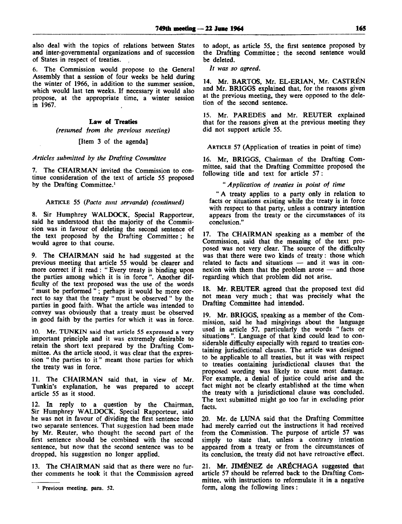also deal with the topics of relations between States and inter-governmental organizations and of succession of States in respect of treaties.

6. The Commission would propose to the General Assembly that a session of four weeks be held during the winter of 1966, in addition to the summer session, which would last ten weeks. If necessary it would also propose, at the appropriate time, a winter session in 1967.

# Law of Treaties

*(resumed from the previous meeting)*

#### [Item 3 of the agenda]

### *Articles submitted by the Drafting Committee*

7. The CHAIRMAN invited the Commission to continue consideration of the text of article 55 proposed by the Drafting Committee.<sup>1</sup>

#### ARTICLE 55 *(Pacta sunt servanda) (continued)*

8. Sir Humphrey WALDOCK, Special Rapporteur, said he understood that the majority of the Commission was in favour of deleting the second sentence of the text proposed by the Drafting Committee; he would agree to that course.

9. The CHAIRMAN said he had suggested at the previous meeting that article 55 would be clearer and more correct if it read : " Every treaty is binding upon the parties among which it is in force ". Another difficulty of the text proposed was the use of the words " must be performed "; perhaps it would be more correct to say that the treaty " must be observed " by the parties in good faith. What the article was intended to convey was obviously that a treaty must be observed in good faith by the parties for which it was in force.

10. Mr. TUNKIN said that article 55 expressed a very important principle and it was extremely desirable to retain the short text prepared by the Drafting Committee. As the article stood, it was clear that the expression " the parties to it" meant those parties for which the treaty was in force.

11. The CHAIRMAN said that, in view of Mr. Tunkin's explanation, he was prepared to accept article 55 as it stood.

12. In reply to a question by the Chairman, Sir Humphrey WALDOCK, Special Rapporteur, said he was not in favour of dividing the first sentence into two separate sentences. That suggestion had been made by Mr. Reuter, who thought the second part of the first sentence should be combined with the second sentence, but now that the second sentence was to be dropped, his suggestion no longer applied.

13. The CHAIRMAN said that as there were no further comments he took it that the Commission aereed to adopt, as article 55, the first sentence proposed by the Drafting Committee; the second sentence would be deleted.

// *was so agreed.*

14. Mr. BARTOS, Mr. EL-ERIAN, Mr. CASTRÉN and Mr. BRIGGS explained that, for the reasons given at the previous meeting, they were opposed to the deletion of the second sentence.

15. Mr. PAREDES and Mr. REUTER explained that for the reasons given at the previous meeting they did not support article 55.

ARTICLE 57 (Application of treaties in point of time)

16. Mr, BRIGGS, Chairman of the Drafting Committee, said that the Drafting Committee proposed the following title and text for article 57 :

" *Application of treaties in point of time*

" A treaty applies to a party only in relation to facts or situations existing while the treaty is in force with respect to that party, unless a contrary intention appears from the treaty or the circumstances of its conclusion."

17. The CHAIRMAN speaking as a member of the Commission, said that the meaning of the text proposed was not very clear. The source of the difficulty was that there were two kinds of treaty: those which related to facts and situations — and it was in connexion with them that the problem arose — and those regarding which that problem did not arise.

18. Mr. REUTER agreed that the proposed text did not mean very much; that was precisely what the Drafting Committee had intended.

19. Mr. BRIGGS, speaking as a member of the Commission, said he had misgivings about the language used in article 57, particularly the words " facts or situations ". Language of that kind could lead to considerable difficulty especially with regard to treaties containing jurisdictional clauses. The article was designed to be applicable to all treaties, but it was with respect to treaties containing jurisdictional clauses that the proposed wording was likely to cause most damage. For example, a denial of justice could arise and the fact might not be clearly established at the time when the treaty with a jurisdictional clause was concluded. The text submitted might go too far in excluding prior facts.

20. Mr. de LUNA said that the Drafting Committee had merely carried out the instructions it had received from the Commission. The purpose of article 57 was simply to state that, unless a contrary intention appeared from a treaty or from the circumstances of its conclusion, the treaty did not have retroactive effect.

21. Mr. JIMÉNEZ de ARÉCHAGA suggested that article 57 should be referred back to the Drafting Committee, with instructions to reformulate it in a negative form, along the following lines :

<sup>&</sup>lt;sup>1</sup> Previous meeting, para. 52.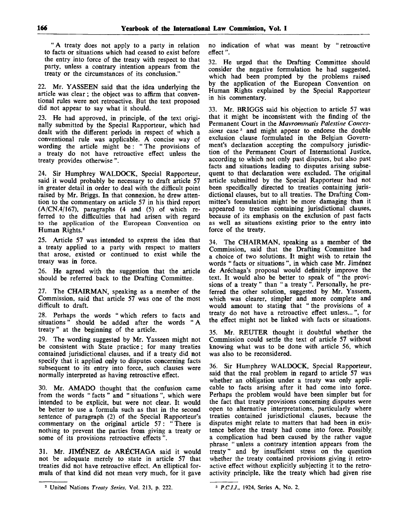"A treaty does not apply to a party in relation to facts or situations which had ceased to exist before the entry into force of the treaty with respect to that party, unless a contrary intention appears from the treaty or the circumstances of its conclusion."

22. Mr. YASSEEN said that the idea underlying the article was clear; the object was to affirm that conventional rules were not retroactive. But the text proposed did not appear to say what it should.

23. He had approved, in principle, of the text originally submitted by the Special Rapporteur, which had dealt with the different periods in respect of which a conventional rule was applicable. A concise way of wording the article might be : " The provisions of a treaty do not have retroactive effect unless the treaty provides otherwise ".

24. Sir Humphrey WALDOCK, Special Rapporteur, said it would probably be necessary to draft article 57 in greater detail in order to deal with the difficult point raised by Mr. Briggs. In that connexion, he drew attention to the commentary on article 57 in his third report  $(A/CN.4/167)$ , paragraphs  $(4 \text{ and } (5) \text{ of which }$ ferred to the difficulties that had arisen with regard to the application of the European Convention on Human Rights.<sup>2</sup>

25. Article 57 was intended to express the idea that a treaty applied to a party with respect to matters that arose, existed or continued to exist while the treaty was in force.

26. He agreed with the suggestion that the article should be referred back to the Drafting Committee.

27. The CHAIRMAN, speaking as a member of the Commission, said that article 57 was one of the most difficult to draft.

28. Perhaps the words " which refers to facts and situations" should be added after the words " A treaty " at the beginning of the article.

29. The wording suggested by Mr. Yasseen might not be consistent with State practice ; for many treaties contained jurisdictional clauses, and if a treaty did not specify that it applied only to disputes concerning facts subsequent to its entry into force, such clauses were normally interpreted as having retroactive effect.

30. Mr. AMADO thought that the confusion came from the words " facts " and " situations ", which were intended to be explicit, but were not clear. It would be better to use a formula such as that in the second sentence of paragraph (2) of the Special Rapporteur's commentary on the original article 57: " There is nothing to prevent the parties from giving a treaty or some of its provisions retroactive effects ".

31. Mr. JIMENEZ de ARECHAGA said it would not be adequate merely to state in article 57 that treaties did not have retroactive effect. An elliptical formula of that kind did not mean very much, for it gave

no indication of what was meant by "retroactive effect".

32. He urged that the Drafting Committee should consider the negative formulation he had suggested, which had been prompted by the problems raised by the application of the European Convention on Human Rights explained by the Special Rapporteur in his commentary.

33. Mr. BRIGGS said his objection to article 57 was that it might be inconsistent with the finding of the Permanent Court in the *Mavrommatis Palestine Conces*sions case<sup>3</sup> and might appear to endorse the double exclusion clause formulated in the Belgian Government's declaration accepting the compulsory jurisdiction of the Permanent Court of International Justice, according to which not only past disputes, but also past facts and situations leading to disputes arising subsequent to that declaration were excluded. The original article submitted by the Special Rapporteur had not been specifically directed to treaties containing jurisdictional clauses, but to all treaties. The Drafting Committee's formulation might be more damaging than it appeared to treaties containing jurisdictional clauses, because of its emphasis on the exclusion of past facts as well as situations existing prior to the entry into force of the treaty.

34. The CHAIRMAN, speaking as a member of the Commission, said that the Drafting Committee had a choice of two solutions. It might wish to retain the words "facts or situations", in which case Mr. Jiménez de Arechaga's proposal would definitely improve the text. It would also be better to speak of " the provisions of a treaty " than " a treaty ". Personally, he preferred the other solution, suggested by Mr. Yasseen, which was clearer, simpler and more complete and would amount to stating that " the provisions of a treaty do not have a retroactive effect unless...", for the effect might not be linked with facts or situations.

35. Mr. REUTER thought it doubtful whether the Commission could settle the text of article 57 without knowing what was to be done with article 56, which was also to be reconsidered.

36. Sir Humphrey WALDOCK, Special Rapporteur, said that the real problem in regard to article 57 was whether an obligation under a treaty was only applicable to facts arising after it had come into force. Perhaps the problem would have been simpler but for the fact that treaty provisions concerning disputes were open to alternative interpretations, particularly where treaties contained jurisdictional clauses, because the disputes might relate to matters that had been in existence before the treaty had come into force. Possibly, a complication had been caused by the rather vague phrase " unless a contrary intention appears from the treaty" and by insufficient stress on the question whether the treaty contained provisions giving it retroactive effect without explicitly subjecting it to the retroactivity principle, like the treaty which had given rise

<sup>2</sup> United Nations *Treaty Series,* Vol. 213, p. 222. *P.C.I.J.,* 1924, Series A, No. 2.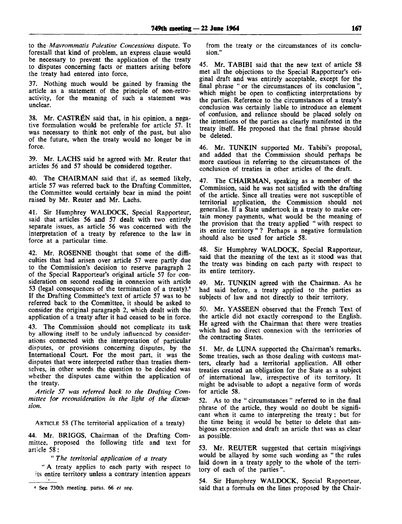to the *Mavrommatis Palestine Concessions* dispute. To forestall that kind of problem, an express clause would be necessary to prevent the application of the treaty to disputes concerning facts or matters arising before the treaty had entered into force.

37. Nothing much would be gained by framing the article as a statement of the principle of non-retroactivity, for the meaning of such a statement was unclear.

38. Mr. CASTRÉN said that, in his opinion, a negative formulation would be preferable for article 57. It was necessary to think not only of the past, but also of the future, when the treaty would no longer be in force.

39. Mr. LACHS said he agreed with Mr. Reuter that articles 56 and 57 should be considered together.

40. The CHAIRMAN said that if, as seemed likely, article 57 was referred back to the Drafting Committee, the Committee would certainly bear in mind the point raised by Mr. Reuter and Mr. Lachs.

41. Sir Humphrey WALDOCK, Special Rapporteur, said that articles 56 and 57 dealt with two entirely separate issues, as article 56 was concerned with the interpretation of a treaty by reference to the law in force at a particular time.

42. Mr. ROSENNE thought that some of the difficulties that had arisen over article 57 were partly due to the Commission's decision to reserve paragraph 2 of the Special Rapporteur's original article 57 for consideration on second reading in connexion with article 53 (legal consequences of the termination of a treaty).\* If the Drafting Committee's text of article 57 was to be referred back to the Committee, it should be asked to consider the original paragraph 2, which dealt with the application of a treaty after it had ceased to be in force.

43. The Commission should not complicate its task by allowing itself to be unduly influenced by considerations connected with the interpretation of particular disputes, or provisions concerning disputes, by the International Court. For the most part, it was the disputes that were interpreted rather than treaties themselves, in other words the question to be decided was whether the disputes came within the application of the treaty.

*Article 57 was referred back to the Drafting Committee for reconsideration in the light of the discussion.*

ARTICLE 58 (The territorial application of a treaty)

44. Mr. BRIGGS, Chairman of the Drafting Committee, proposed the following title and text for article 58:

" *The territorial application of a treaty*

" A treaty applies to each party with respect to its entire territory unless a contrary intention appears

from the treaty or the circumstances of its conclusion."

45. Mr. TABIBI said that the new text of article 58 met all the objections to the Special Rapporteur's original draft and was entirely acceptable, except for the final phrase " or the circumstances of its conclusion ", which might be open to conflicting interpretations by the parties. Reference to the circumstances of a treaty's conclusion was certainly liable to introduce an element of confusion, and reliance should be placed solely on the intentions of the parties as clearly manifested in the treaty itself. He proposed that the final phrase should be deleted.

46. Mr. TUNKIN supported Mr. Tabibi's proposal, and added that the Commission should perhaps be more cautious in referring to the circumstances of the conclusion of treaties in other articles of the draft.

47. The CHAIRMAN, speaking as a member of the Commission, said he was not satisfied with the drafting of the article. Since all treaties were not susceptible of territorial application, the Commission should not generalise. If a State undertook in a treaty to make certain money payments, what would be the meaning of the provision that the treaty applied " with respect to its entire territory"? Perhaps a negative formulation should also be used for article 58.

48. Sir Humphrey WALDOCK, Special Rapporteur, said that the meaning of the text as it stood was that the treaty was binding on each party with respect to its entire territory.

49. Mr. TUNKIN agreed with the Chairman. As he had said before, a treaty applied to the parties as subjects of law and not directly to their territory.

50. Mr. YASSEEN observed that the French Text of the article did not exactly correspond to the English. He agreed with the Chairman that there were treaties which had no direct connexion with the territories of the contracting States.

51. Mr. de LUNA supported the Chairman's remarks. Some treaties, such as those dealing with customs matters, clearly had a territorial application. All other treaties created an obligation for the State as a subject of international law, irrespective of its territory. It might be advisable to adopt a negative form of words for article 58.

52. As to the " circumstances " referred to in the final phrase of the article, they would no doubt be significant when it came to interpreting the treaty; but for the time being it would be better to delete that ambigous expression and draft an article that was as clear as possible.

53. Mr. REUTER suggested that certain misgivings would be allayed by some such wording as " the rules laid down in a treaty apply to the whole of the territory of each of the parties ".

54. Sir Humphrey WALDOCK, Special Rapporteur, said that a formula on the lines proposed by the Chair-

*<sup>4</sup>* See 730th meeting, paras. 66 *et seq.*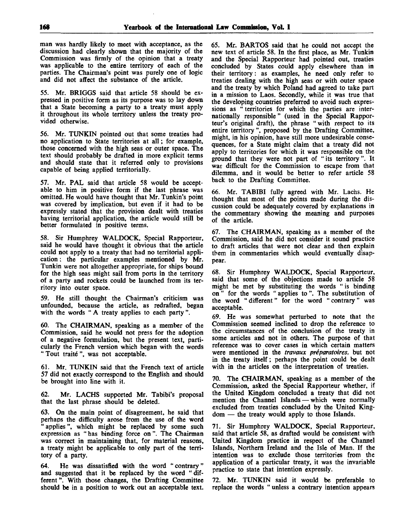man was hardly likely to meet with acceptance, as the discussion had clearly shown that the majority of the Commission was firmly of the opinion that a treaty was applicable to the entire territory of each of the parties. The Chairman's point was purely one of logic and did not affect the substance of the article.

55. Mr. BRIGGS said that article 58 should be expressed in positive form as its purpose was to lay down that a State becoming a party to a treaty must apply it throughout its whole territory unless the treaty provided otherwise.

56. Mr. TUNKIN pointed out that some treaties had no application to State territories at all; for example, those concerned with the high seas or outer space. The text should probably be drafted in more explicit terms and should state that it referred only to provisions capable of being applied territorially.

57. Mr. PAL said that article 58 would be acceptable to him in positive form if the last phrase was omitted. He would have thought that Mr. Tunkin's point was covered by implication, but even if it had to be expressly stated that the provision dealt with treaties having territorial application, the article would still be better formulated in positive terms.

58. Sir Humphrey WALDOCK, Special Rapporteur, said he would have thought it obvious that the article could not apply to a treaty that had no territorial application ; the particular examples mentioned by Mr. Tunkin were not altogether appropriate, for ships bound for the high seas might sail from ports in the territory of a party and rockets could be launched from its territory into outer space.

59. He still thought the Chairman's criticism was unfounded, because the article, as redrafted, began with the words " A treaty applies to each party".

60. The CHAIRMAN, speaking as a member of the Commission, said he would not press for the adoption of a negative formulation, but the present text, particularly the French version which began with the words " Tout traite ", was not acceptable.

61. Mr. TUNKIN said that the French text of article 57 did not exactly correspond to the English and should be brought into line with it.

62. Mr. LACHS supported Mr. Tabibi's proposal that the last phrase should be deleted.

63. On the main point of disagreement, he said that perhaps the difficulty arose from the use of the word applies", which might be replaced by some such expression as " has binding force on ". The Chairman was correct in maintaining that, for material reasons, a treaty might be applicable to only part of the territory of a party.

64. He was dissatisfied with the word "contrary" and suggested that it be replaced by the word "different". With those changes, the Drafting Committee should be in a position to work out an acceptable text.

65. Mr. BARTOS said that he could not accept the new text of article 58. In the first place, as Mr. Tunkin and the Special Rapporteur had pointed out, treaties concluded by States could apply elsewhere than in their territory: as examples, he need only refer to treaties dealing with the high seas or with outer space and the treaty by which Poland had agreed to take part in a mission to Laos. Secondly, while it was true that the developing countries preferred to avoid such expressions as " territories for which the parties are internationally responsible" (used in the Special Rapporteur's original draft), the phrase " with respect to its entire territory ", proposed by the Drafting Committee, might, in his opinion, have still more undesirable consequences, for a State might claim that a treaty did not apply to territories for which it was responsible on the ground that they were not part of " its territory". It was difficult for the Commission to escape from that dilemma, and it would be better to refer article 58 back to the Drafting Committee.

66. Mr. TABIBI fully agreed with Mr. Lachs. He thought that most of the points made during the discussion could be adequately covered by explanations in the commentary showing the meaning and purposes of the article.

67. The CHAIRMAN, speaking as a member of the Commission, said he did not consider it sound practice to draft articles that were not clear and then explain them in commentaries which would eventually disappear.

68. Sir Humphrey WALDOCK, Special Rapporteur, said that some of the objections made to article 58 might be met by substituting the words " is binding on" for the words " applies to". The substitution of the word " different" for the word " contrary" was acceptable.

69. He was somewhat perturbed to note that the Commission seemed inclined to drop the reference to the circumstances of the conclusion of the treaty in some articles and not in others. The purpose of that reference was to cover cases in which certain matters were mentioned in the *travaux preparatoires,* but not in the treaty itself; perhaps the point could be dealt with in the articles on the interpretation of treaties.

70. The CHAIRMAN, speaking as a member of the Commission, asked the Special Rapporteur whether, if the United Kingdom concluded a treaty that did not mention the Channel Islands — which were normally excluded from treaties concluded by the United Kingdom — the treaty would apply to those Islands.

71. Sir Humphrey WALDOCK, Special Rapporteur, said that article 58, as drafted would be consistent with United Kingdom practice in respect of the Channel Islands, Northern Ireland and the Isle of Man. If the intention was to exclude those territories from the application of a particular treaty, it was the invariable practice to state that intention expressly.

72. Mr. TUNKIN said it would be preferable to replace the words " unless a contrary intention appears